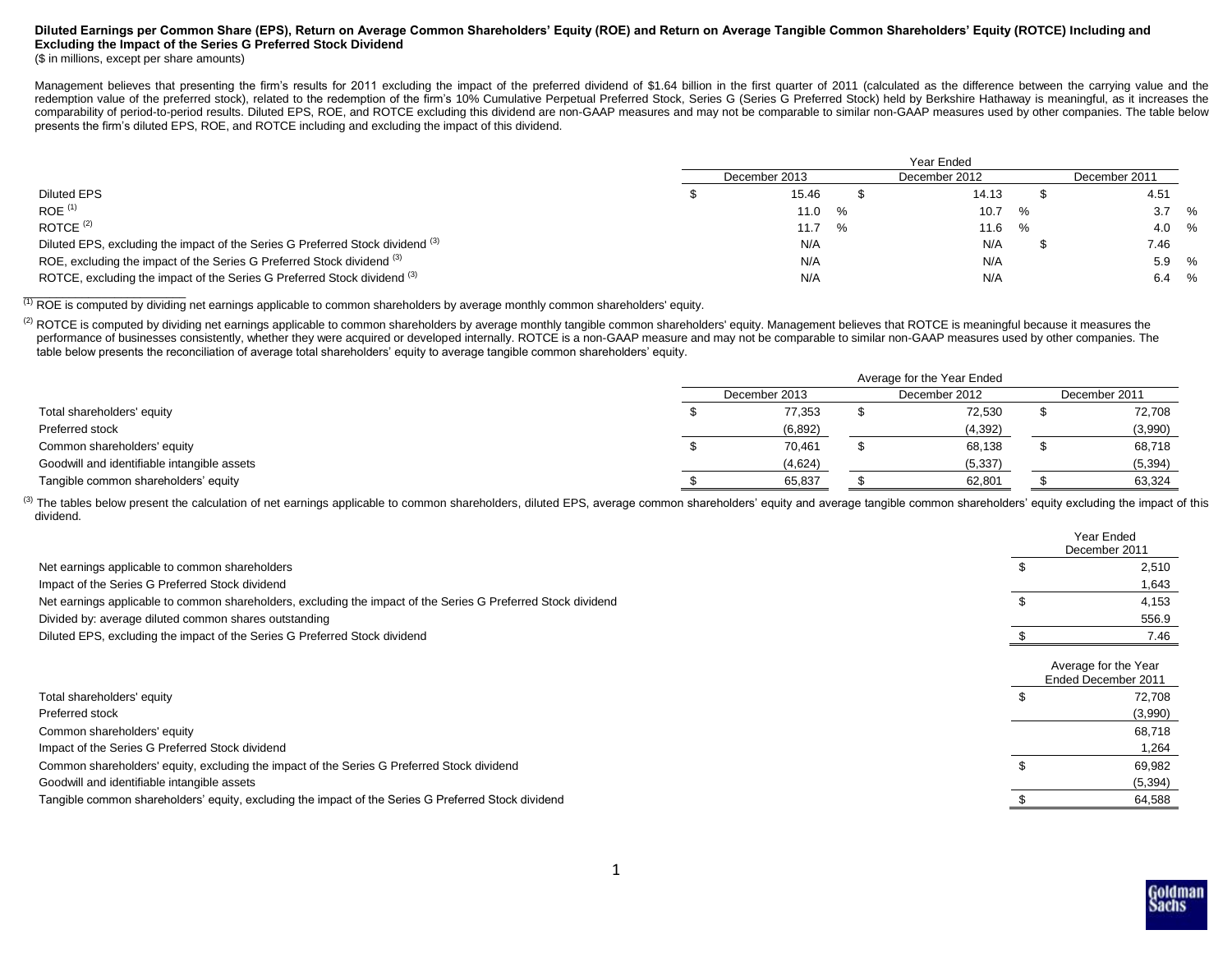# **Diluted Earnings per Common Share (EPS), Return on Average Common Shareholders' Equity (ROE) and Return on Average Tangible Common Shareholders' Equity (ROTCE) Including and Excluding the Impact of the Series G Preferred Stock Dividend**

### (\$ in millions, except per share amounts)

Management believes that presenting the firm's results for 2011 excluding the impact of the preferred dividend of \$1.64 billion in the first quarter of 2011 (calculated as the difference between the carrying value and the redemption value of the preferred stock), related to the redemption of the firm's 10% Cumulative Perpetual Preferred Stock, Series G (Series G Preferred Stock) held by Berkshire Hathaway is meaningful, as it increases the comparability of period-to-period results. Diluted EPS, ROE, and ROTCE excluding this dividend are non-GAAP measures and may not be comparable to similar non-GAAP measures used by other companies. The table below presents the firm's diluted EPS, ROE, and ROTCE including and excluding the impact of this dividend.

|                                                                                           | Year Ended    |  |               |   |  |               |         |
|-------------------------------------------------------------------------------------------|---------------|--|---------------|---|--|---------------|---------|
|                                                                                           | December 2013 |  | December 2012 |   |  | December 2011 |         |
| <b>Diluted EPS</b>                                                                        | 15.46         |  | 14.13         |   |  | 4.51          |         |
| $ROE$ <sup>(1)</sup>                                                                      | $11.0\%$      |  | 10.7          | % |  |               | $3.7\%$ |
| ROTCE $(2)$                                                                               | 11.7 %        |  | 11.6          | % |  |               | 4.0 %   |
| Diluted EPS, excluding the impact of the Series G Preferred Stock dividend <sup>(3)</sup> | N/A           |  | N/A           |   |  | 7.46          |         |
| ROE, excluding the impact of the Series G Preferred Stock dividend (3)                    | N/A           |  | N/A           |   |  |               | 5.9 %   |
| ROTCE, excluding the impact of the Series G Preferred Stock dividend (3)                  | N/A           |  | N/A           |   |  | 6.4           | %       |

(1) ROE is computed by dividing net earnings applicable to common shareholders by average monthly common shareholders' equity.

<sup>(2)</sup> ROTCE is computed by dividing net earnings applicable to common shareholders by average monthly tangible common shareholders' equity. Management believes that ROTCE is meaningful because it measures the performance of businesses consistently, whether they were acquired or developed internally. ROTCE is a non-GAAP measure and may not be comparable to similar non-GAAP measures used by other companies. The table below presents the reconciliation of average total shareholders' equity to average tangible common shareholders' equity.

|                                             | Average for the Year Ended |  |               |  |               |  |  |
|---------------------------------------------|----------------------------|--|---------------|--|---------------|--|--|
|                                             | December 2013              |  | December 2012 |  | December 2011 |  |  |
| Total shareholders' equity                  | 77,353                     |  | 72,530        |  | 72,708        |  |  |
| Preferred stock                             | (6, 892)                   |  | (4, 392)      |  | (3,990)       |  |  |
| Common shareholders' equity                 | 70,461                     |  | 68,138        |  | 68,718        |  |  |
| Goodwill and identifiable intangible assets | (4,624)                    |  | (5, 337)      |  | (5, 394)      |  |  |
| Tangible common shareholders' equity        | 65,837                     |  | 62,801        |  | 63,324        |  |  |

<sup>(3)</sup> The tables below present the calculation of net earnings applicable to common shareholders, diluted EPS, average common shareholders' equity and average tangible common shareholders' equity excluding the impact of th dividend.

|                                                                                                               | Year Ended<br>December 2011                 |  |
|---------------------------------------------------------------------------------------------------------------|---------------------------------------------|--|
| Net earnings applicable to common shareholders                                                                | 2,510                                       |  |
| Impact of the Series G Preferred Stock dividend                                                               | 1,643                                       |  |
| Net earnings applicable to common shareholders, excluding the impact of the Series G Preferred Stock dividend | 4,153                                       |  |
| Divided by: average diluted common shares outstanding                                                         | 556.9                                       |  |
| Diluted EPS, excluding the impact of the Series G Preferred Stock dividend                                    | 7.46                                        |  |
|                                                                                                               | Average for the Year<br>Ended December 2011 |  |
| Total shareholders' equity                                                                                    | 72,708                                      |  |
| Preferred stock                                                                                               | (3,990)                                     |  |
| Common shareholders' equity                                                                                   | 68,718                                      |  |
| Impact of the Series G Preferred Stock dividend                                                               | 1,264                                       |  |
| Common shareholders' equity, excluding the impact of the Series G Preferred Stock dividend                    | 69,982                                      |  |
| Goodwill and identifiable intangible assets                                                                   | (5, 394)                                    |  |
| Tangible common shareholders' equity, excluding the impact of the Series G Preferred Stock dividend           | 64,588                                      |  |

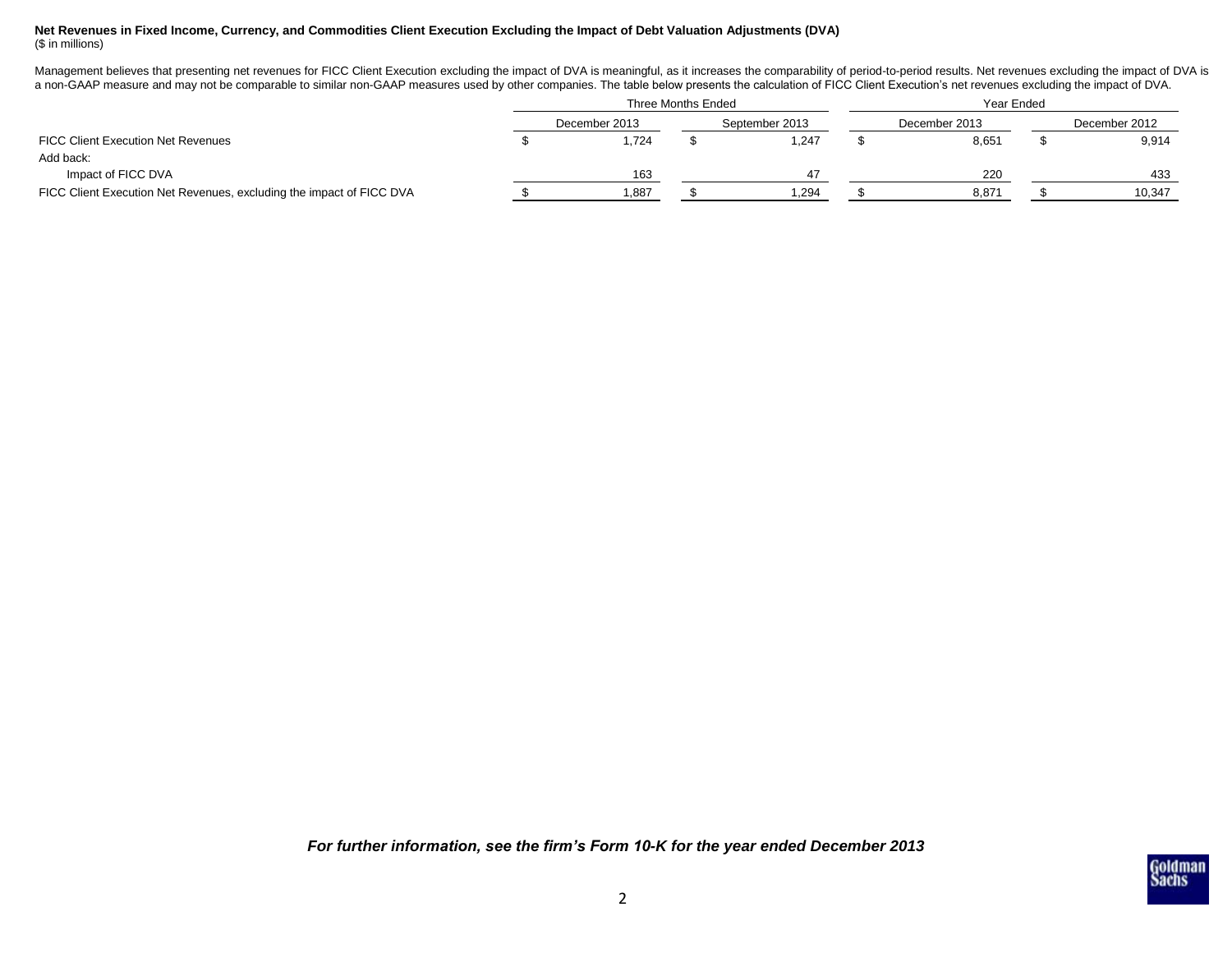# **Net Revenues in Fixed Income, Currency, and Commodities Client Execution Excluding the Impact of Debt Valuation Adjustments (DVA)** (\$ in millions)

Management believes that presenting net revenues for FICC Client Execution excluding the impact of DVA is meaningful, as it increases the comparability of period-to-period results. Net revenues excluding the impact of DVA a non-GAAP measure and may not be comparable to similar non-GAAP measures used by other companies. The table below presents the calculation of FICC Client Execution's net revenues excluding the impact of DVA.

|                                                                      | Three Months Ended |               |  |                | Year Ended |               |  |               |  |
|----------------------------------------------------------------------|--------------------|---------------|--|----------------|------------|---------------|--|---------------|--|
|                                                                      |                    | December 2013 |  | September 2013 |            | December 2013 |  | December 2012 |  |
| <b>FICC Client Execution Net Revenues</b>                            |                    | .724          |  | 1,247          |            | 8,651         |  | 9,914         |  |
| Add back:                                                            |                    |               |  |                |            |               |  |               |  |
| Impact of FICC DVA                                                   |                    | 163           |  |                |            | 220           |  | 433           |  |
| FICC Client Execution Net Revenues, excluding the impact of FICC DVA |                    | 1,887         |  | .294           |            | 8,871         |  | 10,347        |  |

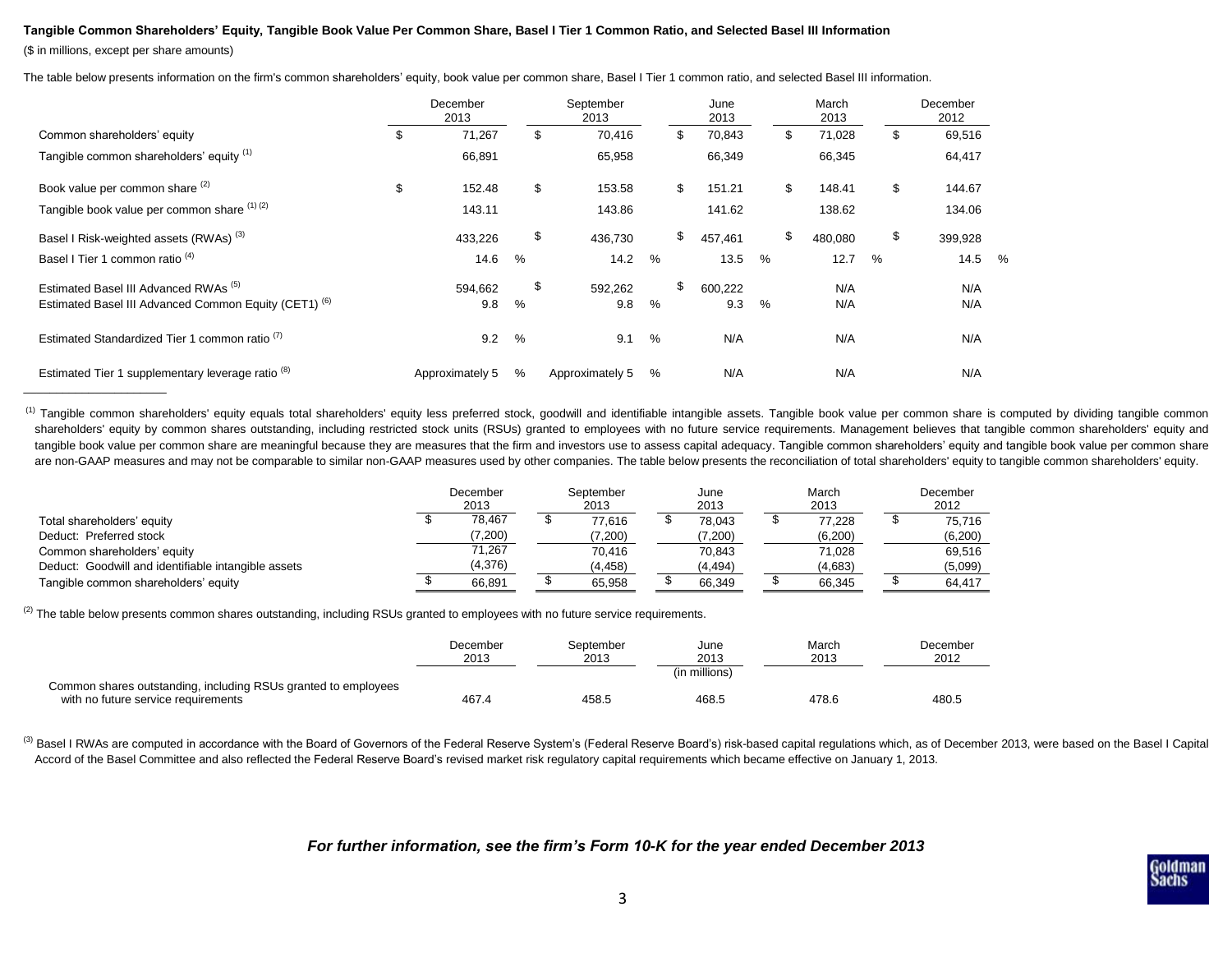## **Tangible Common Shareholders' Equity, Tangible Book Value Per Common Share, Basel I Tier 1 Common Ratio, and Selected Basel III Information**

(\$ in millions, except per share amounts)

The table below presents information on the firm's common shareholders' equity, book value per common share, Basel I Tier 1 common ratio, and selected Basel III information.

|                                                                  | December<br>2013 |    | September<br>2013 |   | June<br>2013  |      | March<br>2013 |   | December<br>2012 |   |
|------------------------------------------------------------------|------------------|----|-------------------|---|---------------|------|---------------|---|------------------|---|
| Common shareholders' equity                                      | \$<br>71,267     | \$ | 70,416            |   | \$<br>70,843  |      | \$<br>71,028  |   | \$<br>69,516     |   |
| Tangible common shareholders' equity (1)                         | 66,891           |    | 65,958            |   | 66,349        |      | 66,345        |   | 64,417           |   |
| Book value per common share (2)                                  | \$<br>152.48     | \$ | 153.58            |   | \$<br>151.21  |      | \$<br>148.41  |   | \$<br>144.67     |   |
| Tangible book value per common share (1)(2)                      | 143.11           |    | 143.86            |   | 141.62        |      | 138.62        |   | 134.06           |   |
| Basel I Risk-weighted assets (RWAs) <sup>(3)</sup>               | 433,226          | \$ | 436,730           |   | \$<br>457,461 |      | \$<br>480,080 |   | \$<br>399,928    |   |
| Basel I Tier 1 common ratio <sup>(4)</sup>                       | 14.6             | %  | 14.2              | % | 13.5          | $\%$ | 12.7          | % | 14.5             | % |
| Estimated Basel III Advanced RWAs <sup>(5)</sup>                 | 594,662          | \$ | 592,262           |   | \$<br>600,222 |      | N/A           |   | N/A              |   |
| Estimated Basel III Advanced Common Equity (CET1) <sup>(6)</sup> | 9.8              | %  | 9.8               | % | 9.3           | %    | N/A           |   | N/A              |   |
| Estimated Standardized Tier 1 common ratio <sup>(7)</sup>        | 9.2              | %  | 9.1               | % | N/A           |      | N/A           |   | N/A              |   |
| Estimated Tier 1 supplementary leverage ratio <sup>(8)</sup>     | Approximately 5  | %  | Approximately 5   | % | N/A           |      | N/A           |   | N/A              |   |

<sup>(1)</sup> Tangible common shareholders' equity equals total shareholders' equity less preferred stock, goodwill and identifiable intangible assets. Tangible book value per common share is computed by dividing tangible common shareholders' equity by common shares outstanding, including restricted stock units (RSUs) granted to employees with no future service requirements. Management believes that tangible common shareholders' equity and tangible book value per common share are meaningful because they are measures that the firm and investors use to assess capital adequacy. Tangible common shareholders' equity and tangible book value per common share are non-GAAP measures and may not be comparable to similar non-GAAP measures used by other companies. The table below presents the reconciliation of total shareholders' equity to tangible common shareholders' equity.

|                                                     | December<br>2013 | September<br>2013 | June<br>2013 | March<br>2013 | December<br>2012 |
|-----------------------------------------------------|------------------|-------------------|--------------|---------------|------------------|
| Total shareholders' equity                          | 78.467           | 77.616            | 78.043       | 77.228        | 75.716           |
| Deduct: Preferred stock                             | (7,200)          | (7,200)           | (7,200)      | (6,200)       | (6, 200)         |
| Common shareholders' equity                         | 71,267           | 70.416            | 70.843       | 71.028        | 69.516           |
| Deduct: Goodwill and identifiable intangible assets | (4,376)          | (4, 458)          | (4, 494)     | (4,683)       | (5,099)          |
| Tangible common shareholders' equity                | 66.891           | 65,958            | 66.349       | 66,345        | 64.417           |

<sup>(2)</sup> The table below presents common shares outstanding, including RSUs granted to employees with no future service requirements.

|                                                                | December<br>2013 | September<br>2013 | June<br>2013  | March<br>2013 | December<br>2012 |
|----------------------------------------------------------------|------------------|-------------------|---------------|---------------|------------------|
| Common shares outstanding, including RSUs granted to employees |                  |                   | (in millions) |               |                  |
| with no future service requirements                            | 467.4            | 458.5             | 468.5         | 478.6         | 480.5            |

(3) Basel I RWAs are computed in accordance with the Board of Governors of the Federal Reserve System's (Federal Reserve Board's) risk-based capital regulations which, as of December 2013, were based on the Basel I Capital Accord of the Basel Committee and also reflected the Federal Reserve Board's revised market risk regulatory capital requirements which became effective on January 1, 2013.

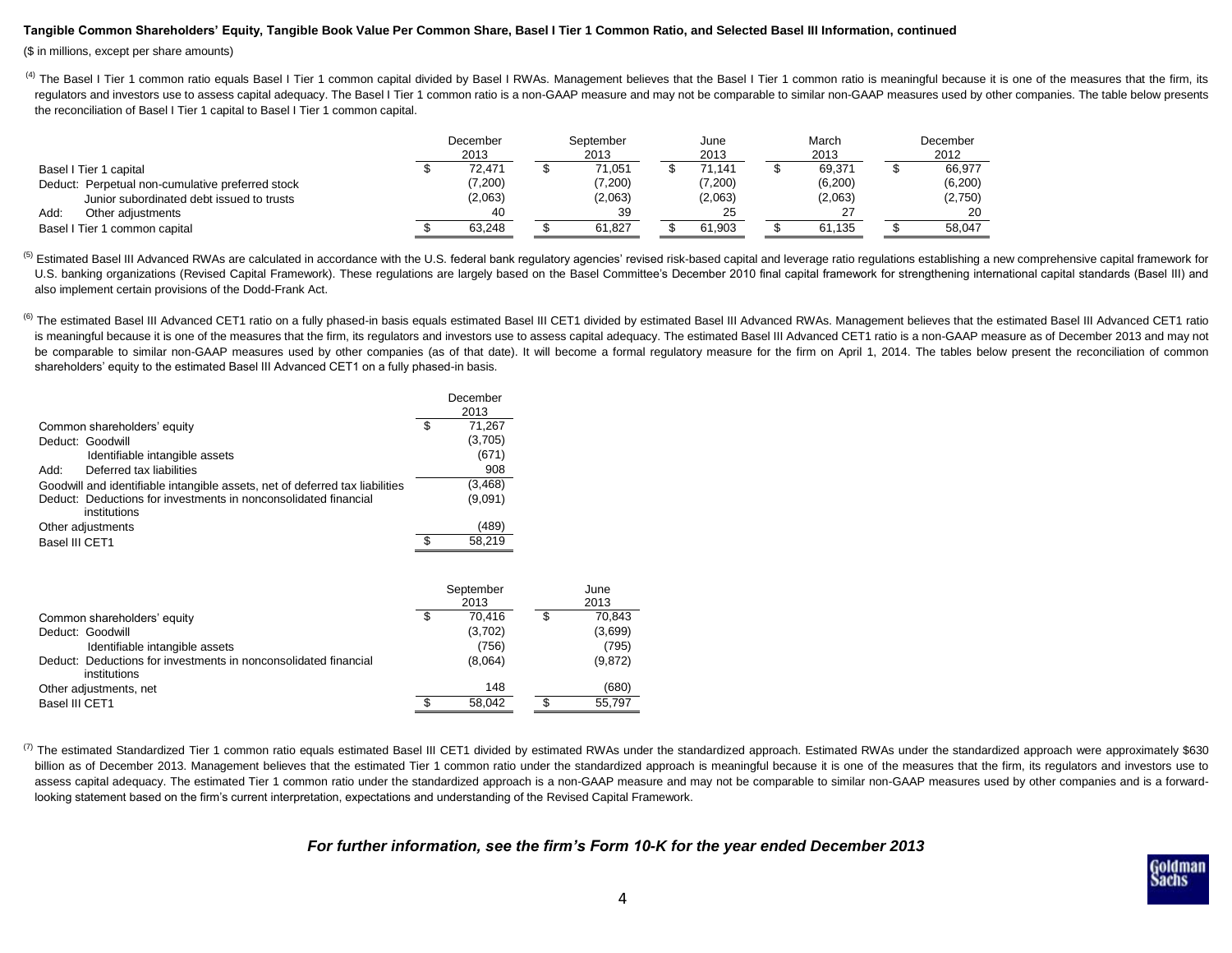### **Tangible Common Shareholders' Equity, Tangible Book Value Per Common Share, Basel I Tier 1 Common Ratio, and Selected Basel III Information, continued**

(\$ in millions, except per share amounts)

<sup>(4)</sup> The Basel I Tier 1 common ratio equals Basel I Tier 1 common capital divided by Basel I RWAs. Management believes that the Basel I Tier 1 common ratio is meaningful because it is one of the measures that the firm, it regulators and investors use to assess capital adequacy. The Basel I Tier 1 common ratio is a non-GAAP measure and may not be comparable to similar non-GAAP measures used by other companies. The table below presents the reconciliation of Basel I Tier 1 capital to Basel I Tier 1 common capital.

|                                                  | December<br>2013 | September<br>2013 | June<br>2013 | March<br>2013 | December<br>2012 |
|--------------------------------------------------|------------------|-------------------|--------------|---------------|------------------|
| Basel I Tier 1 capital                           | 72.471           | 71.051            | 71.141       | 69.371        | 66.977           |
| Deduct: Perpetual non-cumulative preferred stock | (7,200)          | (7,200)           | (7,200)      | (6,200)       | (6,200)          |
| Junior subordinated debt issued to trusts        | (2,063)          | (2,063)           | (2,063)      | (2,063)       | (2,750)          |
| Add:<br>Other adjustments                        | 40               | 39                | 25           | ົ             | 20               |
| Basel I Tier 1 common capital                    | 63.248           | 61.827            | 61.903       | 61.135        | 58,047           |

<sup>(5)</sup> Estimated Basel III Advanced RWAs are calculated in accordance with the U.S. federal bank regulatory agencies' revised risk-based capital and leverage ratio regulations establishing a new comprehensive capital framew U.S. banking organizations (Revised Capital Framework). These regulations are largely based on the Basel Committee's December 2010 final capital framework for strengthening international capital standards (Basel III) and also implement certain provisions of the Dodd-Frank Act.

<sup>(6)</sup> The estimated Basel III Advanced CET1 ratio on a fully phased-in basis equals estimated Basel III CET1 divided by estimated Basel III Advanced RWAs. Management believes that the estimated Basel III Advanced CET1 rati is meaningful because it is one of the measures that the firm, its regulators and investors use to assess capital adequacy. The estimated Basel III Advanced CET1 ratio is a non-GAAP measure as of December 2013 and may not be comparable to similar non-GAAP measures used by other companies (as of that date). It will become a formal regulatory measure for the firm on April 1, 2014. The tables below present the reconciliation of common shareholders' equity to the estimated Basel III Advanced CET1 on a fully phased-in basis.

|                                                                                 | December<br>2013 |
|---------------------------------------------------------------------------------|------------------|
| Common shareholders' equity                                                     | \$<br>71,267     |
| Deduct: Goodwill                                                                | (3,705)          |
| Identifiable intangible assets                                                  | (671)            |
| Deferred tax liabilities<br>Add:                                                | 908              |
| Goodwill and identifiable intangible assets, net of deferred tax liabilities    | (3, 468)         |
| Deduct: Deductions for investments in nonconsolidated financial<br>institutions | (9,091)          |
| Other adjustments                                                               | (489)            |
| Basel III CET1                                                                  | 58.219           |

|                                                                                 | September<br>2013 |   | June<br>2013 |
|---------------------------------------------------------------------------------|-------------------|---|--------------|
| Common shareholders' equity                                                     | \$<br>70.416      | S | 70.843       |
| Deduct: Goodwill                                                                | (3,702)           |   | (3,699)      |
| Identifiable intangible assets                                                  | (756)             |   | (795)        |
| Deduct: Deductions for investments in nonconsolidated financial<br>institutions | (8,064)           |   | (9,872)      |
| Other adjustments, net                                                          | 148               |   | (680)        |
| Basel III CET1                                                                  | 58.042            |   | 55.797       |

(7) The estimated Standardized Tier 1 common ratio equals estimated Basel III CET1 divided by estimated RWAs under the standardized RWAs under the standardized approach were approximately \$630 billion as of December 2013. Management believes that the estimated Tier 1 common ratio under the standardized approach is meaningful because it is one of the measures that the firm, its regulators and investors use to assess capital adequacy. The estimated Tier 1 common ratio under the standardized approach is a non-GAAP measure and may not be comparable to similar non-GAAP measures used by other companies and is a forwardlooking statement based on the firm's current interpretation, expectations and understanding of the Revised Capital Framework.